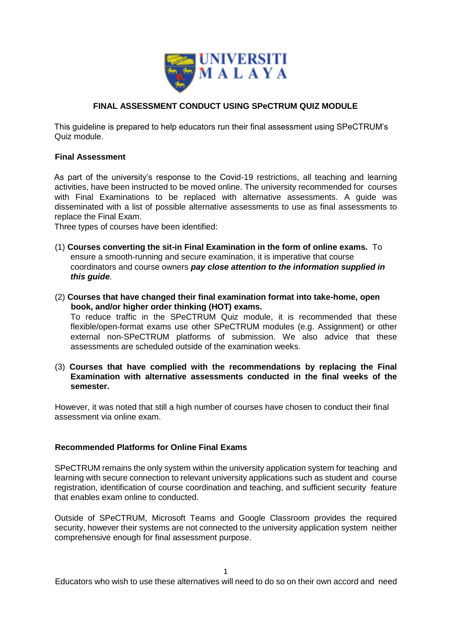

# **FINAL ASSESSMENT CONDUCT USING SPeCTRUM QUIZ MODULE**

This guideline is prepared to help educators run their final assessment using SPeCTRUM's Quiz module.

## **Final Assessment**

As part of the university's response to the Covid-19 restrictions, all teaching and learning activities, have been instructed to be moved online. The university recommended for courses with Final Examinations to be replaced with alternative assessments. A guide was disseminated with a list of possible alternative assessments to use as final assessments to replace the Final Exam.

Three types of courses have been identified:

- (1) **Courses converting the sit-in Final Examination in the form of online exams.** To ensure a smooth-running and secure examination, it is imperative that course coordinators and course owners *pay close attention to the information supplied in this guide*.
- (2) **Courses that have changed their final examination format into take-home, open book, and/or higher order thinking (HOT) exams.**

To reduce traffic in the SPeCTRUM Quiz module, it is recommended that these flexible/open-format exams use other SPeCTRUM modules (e.g. Assignment) or other external non-SPeCTRUM platforms of submission. We also advice that these assessments are scheduled outside of the examination weeks.

(3) **Courses that have complied with the recommendations by replacing the Final Examination with alternative assessments conducted in the final weeks of the semester.** 

However, it was noted that still a high number of courses have chosen to conduct their final assessment via online exam.

# **Recommended Platforms for Online Final Exams**

SPeCTRUM remains the only system within the university application system for teaching and learning with secure connection to relevant university applications such as student and course registration, identification of course coordination and teaching, and sufficient security feature that enables exam online to conducted.

Outside of SPeCTRUM, Microsoft Teams and Google Classroom provides the required security, however their systems are not connected to the university application system neither comprehensive enough for final assessment purpose.

Educators who wish to use these alternatives will need to do so on their own accord and need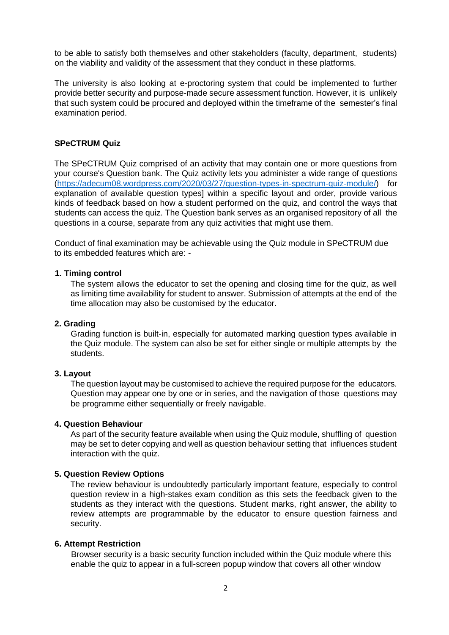to be able to satisfy both themselves and other stakeholders (faculty, department, students) on the viability and validity of the assessment that they conduct in these platforms.

The university is also looking at e-proctoring system that could be implemented to further provide better security and purpose-made secure assessment function. However, it is unlikely that such system could be procured and deployed within the timeframe of the semester's final examination period.

# **SPeCTRUM Quiz**

The SPeCTRUM Quiz comprised of an activity that may contain one or more questions from your course's Question bank. The Quiz activity lets you administer a wide range of questions (https://adecum08.wordpress.com/2020/03/27/question-types-in-spectrum-quiz-module/) for explanation of available question types] within a specific layout and order, provide various kinds of feedback based on how a student performed on the quiz, and control the ways that students can access the quiz. The Question bank serves as an organised repository of all the questions in a course, separate from any quiz activities that might use them.

Conduct of final examination may be achievable using the Quiz module in SPeCTRUM due to its embedded features which are: -

### **1. Timing control**

The system allows the educator to set the opening and closing time for the quiz, as well as limiting time availability for student to answer. Submission of attempts at the end of the time allocation may also be customised by the educator.

#### **2. Grading**

Grading function is built-in, especially for automated marking question types available in the Quiz module. The system can also be set for either single or multiple attempts by the students.

### **3. Layout**

The question layout may be customised to achieve the required purpose for the educators. Question may appear one by one or in series, and the navigation of those questions may be programme either sequentially or freely navigable.

### **4. Question Behaviour**

As part of the security feature available when using the Quiz module, shuffling of question may be set to deter copying and well as question behaviour setting that influences student interaction with the quiz.

#### **5. Question Review Options**

The review behaviour is undoubtedly particularly important feature, especially to control question review in a high-stakes exam condition as this sets the feedback given to the students as they interact with the questions. Student marks, right answer, the ability to review attempts are programmable by the educator to ensure question fairness and security.

#### **6. Attempt Restriction**

Browser security is a basic security function included within the Quiz module where this enable the quiz to appear in a full-screen popup window that covers all other window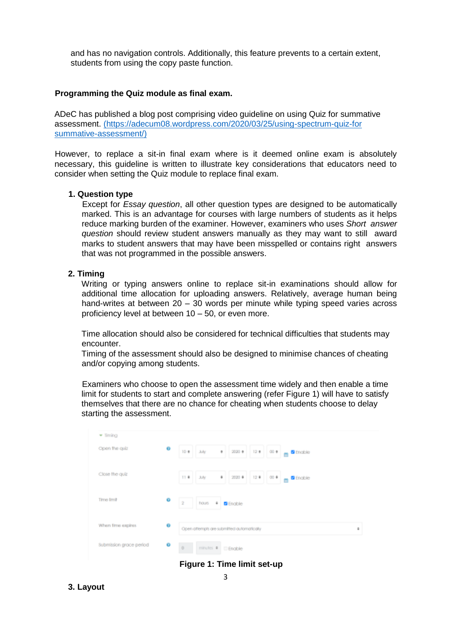and has no navigation controls. Additionally, this feature prevents to a certain extent, students from using the copy paste function.

### **Programming the Quiz module as final exam.**

ADeC has published a blog post comprising video guideline on using Quiz for summative assessment. (https://adecum08.wordpress.com/2020/03/25/using-spectrum-quiz-for summative-assessment/)

However, to replace a sit-in final exam where is it deemed online exam is absolutely necessary, this guideline is written to illustrate key considerations that educators need to consider when setting the Quiz module to replace final exam.

#### **1. Question type**

Except for *Essay question*, all other question types are designed to be automatically marked. This is an advantage for courses with large numbers of students as it helps reduce marking burden of the examiner. However, examiners who uses *Short answer question* should review student answers manually as they may want to still award marks to student answers that may have been misspelled or contains right answers that was not programmed in the possible answers.

## **2. Timing**

Writing or typing answers online to replace sit-in examinations should allow for additional time allocation for uploading answers. Relatively, average human being hand-writes at between 20 – 30 words per minute while typing speed varies across proficiency level at between 10 – 50, or even more.

Time allocation should also be considered for technical difficulties that students may encounter.

Timing of the assessment should also be designed to minimise chances of cheating and/or copying among students.

Examiners who choose to open the assessment time widely and then enable a time limit for students to start and complete answering (refer Figure 1) will have to satisfy themselves that there are no chance for cheating when students choose to delay starting the assessment.

| - Sming                 |   |                                                                                  |   |
|-------------------------|---|----------------------------------------------------------------------------------|---|
| Open the quiz           | o | 12 * 00 * 4 8 Encible<br>$10.0 -$<br>July.<br>$\sim$<br>$2000 +$                 |   |
| Close the quiz          |   | 12.4<br>$\bullet$<br>2020 *<br>$11 - 4$<br>July.<br>$00.4$ $\blacksquare$ Enable |   |
| Time limit              | o | $\dot{2}$<br>hours.<br><b>4 B</b> Enable                                         |   |
| When fime expires       | Ò | Open attempts are submitted automatically                                        | ٠ |
| Submission grace period | o | Ù<br>minutes # DEnable                                                           |   |

**Figure 1: Time limit set-up**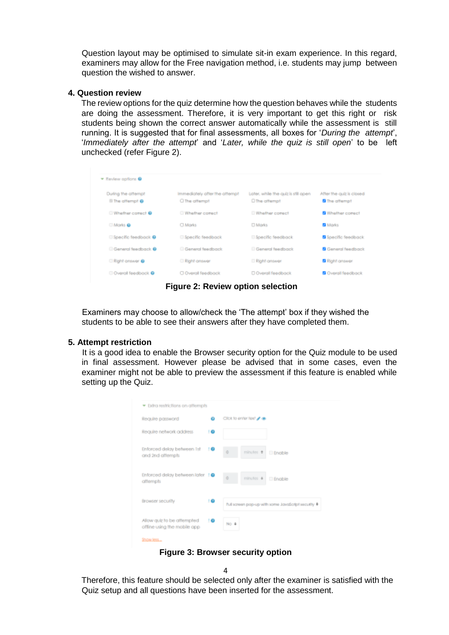Question layout may be optimised to simulate sit-in exam experience. In this regard, examiners may allow for the Free navigation method, i.e. students may jump between question the wished to answer.

### **4. Question review**

The review options for the quiz determine how the question behaves while the students are doing the assessment. Therefore, it is very important to get this right or risk students being shown the correct answer automatically while the assessment is still running. It is suggested that for final assessments, all boxes for '*During the attempt*', '*Immediately after the attempt*' and '*Later, while the quiz is still open*' to be left unchecked (refer Figure 2).

| * Review apflora @                              |                                                 |                                                      |                                                  |
|-------------------------------------------------|-------------------------------------------------|------------------------------------------------------|--------------------------------------------------|
| During the attempt<br><b>Ill The offernpf @</b> | immediately after the attempt<br>O The offermof | Later, while the quiz is still open<br>O The affempt | After the quiz is closed<br><b>8</b> The attempt |
| Whether corect @                                | Whether correct                                 | Whether correct                                      | <b>B</b> Whether comect                          |
| <b>UMorks</b>                                   | <b>CLMorks</b>                                  | <b>D</b> Marks                                       | <b>B</b> Marks                                   |
| Specific feedback @                             | Specific feedback                               | <b>El Specific feedback</b>                          | <b>B</b> Specific feedback                       |
| General feedback <sup>0</sup>                   | General feedback                                | <b>Canard feadback</b>                               | <b>B</b> General feedback                        |
| Right answer @                                  | Right enswer                                    | <b>D</b> Right onswer                                | <b>B</b> Right onswer                            |
| Coveral feedback <b>9</b>                       | O Overall feedback                              | D Overall feedback                                   | <b>B</b> Overall feedback                        |
|                                                 |                                                 |                                                      |                                                  |

**Figure 2: Review option selection** 

Examiners may choose to allow/check the 'The attempt' box if they wished the students to be able to see their answers after they have completed them.

## **5. Attempt restriction**

It is a good idea to enable the Browser security option for the Quiz module to be used in final assessment. However please be advised that in some cases, even the examiner might not be able to preview the assessment if this feature is enabled while setting up the Quiz.

| Require password                                            |      |       | Click to enter feet # de |                                                  |
|-------------------------------------------------------------|------|-------|--------------------------|--------------------------------------------------|
| Require network address                                     | 10   |       |                          |                                                  |
| Enforced delay between list<br>and 2nd afternpts            | 1.69 | ö     | minutes #                | <b>Enable</b>                                    |
| Enforced delay between later 10<br>attempts                 |      | ö     | minutes #                | <b>Engble</b>                                    |
| Browser security                                            | 16   |       |                          | Full screen pop-up with some JavaSatphsecutity # |
| Allow guiz to be affempted.<br>offine using the mobile opp. | 10   | NO. 8 |                          |                                                  |

**Figure 3: Browser security option**

 $\Lambda$ 

Therefore, this feature should be selected only after the examiner is satisfied with the Quiz setup and all questions have been inserted for the assessment.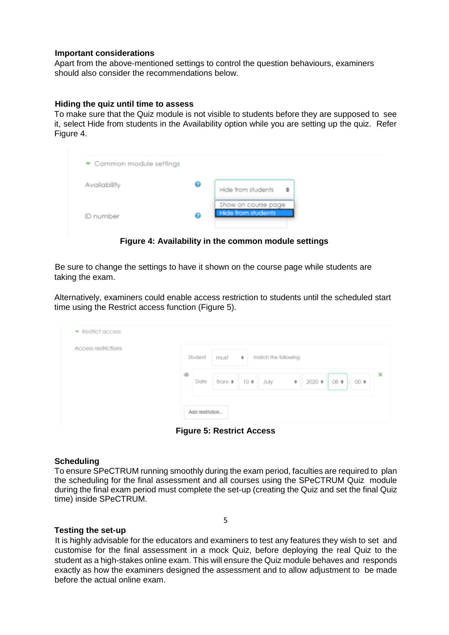## **Important considerations**

Apart from the above-mentioned settings to control the question behaviours, examiners should also consider the recommendations below.

## **Hiding the quiz until time to assess**

To make sure that the Quiz module is not visible to students before they are supposed to see it, select Hide from students in the Availability option while you are setting up the quiz. Refer Figure 4.

| $\blacktriangleright$ Common module settings |   |                                                  |
|----------------------------------------------|---|--------------------------------------------------|
| Availability                                 | ❼ | Hide from students<br>٠                          |
| ID number                                    | ഒ | Show on course page<br><b>Hide from students</b> |

**Figure 4: Availability in the common module settings** 

Be sure to change the settings to have it shown on the course page while students are taking the exam.

Alternatively, examiners could enable access restriction to students until the scheduled start time using the Restrict access function (Figure 5).

| Access restrictions |                                                                                                     |
|---------------------|-----------------------------------------------------------------------------------------------------|
|                     | match the following<br>Student<br>must $\bullet$                                                    |
|                     | ®<br>$\bullet$ 2020 $\bullet$ 08 $\bullet$ 00 $\bullet$<br>Date<br>from $\bullet$ 10 $\bullet$ July |
|                     |                                                                                                     |

**Figure 5: Restrict Access** 

# **Scheduling**

To ensure SPeCTRUM running smoothly during the exam period, faculties are required to plan the scheduling for the final assessment and all courses using the SPeCTRUM Quiz module during the final exam period must complete the set-up (creating the Quiz and set the final Quiz time) inside SPeCTRUM.

# **Testing the set-up**

It is highly advisable for the educators and examiners to test any features they wish to set and customise for the final assessment in a mock Quiz, before deploying the real Quiz to the student as a high-stakes online exam. This will ensure the Quiz module behaves and responds exactly as how the examiners designed the assessment and to allow adjustment to be made before the actual online exam.

5